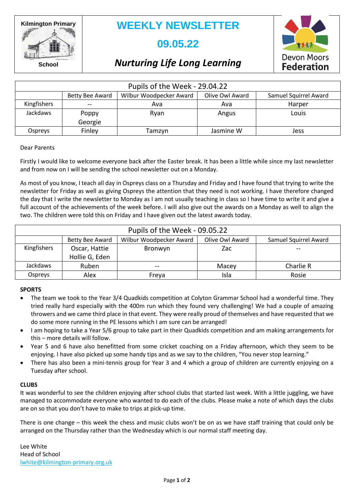**Kilmington Primary**

**WEEKLY NEWSLETTER**

# **09.05.22**



**School**

# *Nurturing Life Long Learning*

| Pupils of the Week - 29.04.22 |                  |                         |                 |                       |  |
|-------------------------------|------------------|-------------------------|-----------------|-----------------------|--|
|                               | Betty Bee Award  | Wilbur Woodpecker Award | Olive Owl Award | Samuel Squirrel Award |  |
| Kingfishers                   | $- -$            | Ava                     | Ava             | Harper                |  |
| <b>Jackdaws</b>               | Poppy<br>Georgie | Ryan                    | Angus           | Louis                 |  |
| Ospreys                       | Finley           | Tamzyn                  | Jasmine W       | Jess                  |  |

### Dear Parents

Firstly I would like to welcome everyone back after the Easter break. It has been a little while since my last newsletter and from now on I will be sending the school newsletter out on a Monday.

As most of you know, I teach all day in Ospreys class on a Thursday and Friday and I have found that trying to write the newsletter for Friday as well as giving Ospreys the attention that they need is not working. I have therefore changed the day that I write the newsletter to Monday as I am not usually teaching in class so I have time to write it and give a full account of the achievements of the week before. I will also give out the awards on a Monday as well to align the two. The children were told this on Friday and I have given out the latest awards today.

| Pupils of the Week - 09.05.22 |                                 |                         |                 |                       |  |
|-------------------------------|---------------------------------|-------------------------|-----------------|-----------------------|--|
|                               | Betty Bee Award                 | Wilbur Woodpecker Award | Olive Owl Award | Samuel Squirrel Award |  |
| Kingfishers                   | Oscar, Hattie<br>Hollie G, Eden | Bronwyn                 | Zac             |                       |  |
| Jackdaws                      | Ruben                           | $- -$                   | Macey           | Charlie R             |  |
| Ospreys                       | Alex                            | Freya                   | Isla            | Rosie                 |  |

#### **SPORTS**

- The team we took to the Year 3/4 Quadkids competition at Colyton Grammar School had a wonderful time. They tried really hard especially with the 400m run which they found very challenging! We had a couple of amazing throwers and we came third place in that event. They were really proud of themselves and have requested that we do some more running in the PE lessons which I am sure can be arranged!
- I am hoping to take a Year 5/6 group to take part in their Quadkids competition and am making arrangements for this – more details will follow.
- Year 5 and 6 have also benefitted from some cricket coaching on a Friday afternoon, which they seem to be enjoying. I have also picked up some handy tips and as we say to the children, "You never stop learning."
- There has also been a mini-tennis group for Year 3 and 4 which a group of children are currently enjoying on a Tuesday after school.

### **CLUBS**

It was wonderful to see the children enjoying after school clubs that started last week. With a little juggling, we have managed to accommodate everyone who wanted to do each of the clubs. Please make a note of which days the clubs are on so that you don't have to make to trips at pick-up time.

There is one change – this week the chess and music clubs won't be on as we have staff training that could only be arranged on the Thursday rather than the Wednesday which is our normal staff meeting day.

Lee White Head of School [lwhite@kilmington-primary.org.uk](mailto:lwhite@kilmington-primary.org.uk)